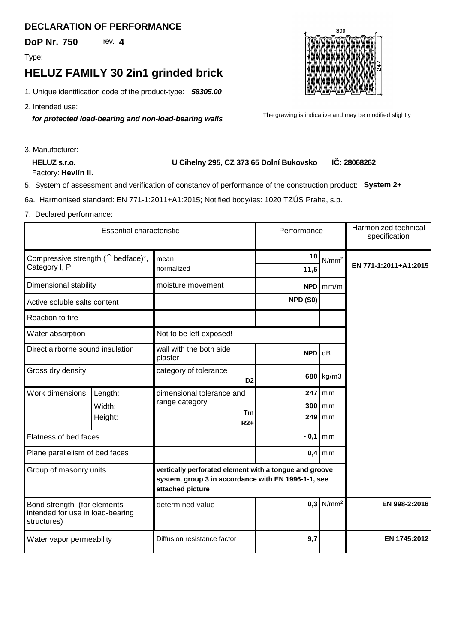## **DECLARATION OF PERFORMANCE**

**DoP Nr. 750 4**

Type:

## **HELUZ FAMILY 30 2in1 grinded brick**

*58305.00* 1. Unique identification code of the product-type:

2. Intended use:

*for protected load-bearing and non-load-bearing walls*



The grawing is indicative and may be modified slightly

3. Manufacturer:

**HELUZ s.r.o.** Factory: Hevlín II.

## **U Cihelny 295, CZ 373 65 Dolní Bukovsko 28068262 I**: 28068262

5. System of assessment and verification of constancy of performance of the construction product:**System 2+**

6a. Harmonised standard: EN 771-1:2011+A1:2015; Notified body/ies: 1020 TZÚS Praha, s.p.

7. Declared performance:

| <b>Essential characteristic</b>                                                |         |                                                                                                                                   | Performance              |                   | Harmonized technical<br>specification |
|--------------------------------------------------------------------------------|---------|-----------------------------------------------------------------------------------------------------------------------------------|--------------------------|-------------------|---------------------------------------|
| Compressive strength $($ <sup>^</sup> bedface) <sup>*</sup> ,                  |         | mean                                                                                                                              | 10                       | N/mm <sup>2</sup> | EN 771-1:2011+A1:2015                 |
| Category I, P                                                                  |         | normalized                                                                                                                        | 11,5                     |                   |                                       |
| Dimensional stability                                                          |         | moisture movement<br>$NPD \mid \text{mm/m}$                                                                                       |                          |                   |                                       |
| Active soluble salts content                                                   |         |                                                                                                                                   | NPD (S0)                 |                   |                                       |
| Reaction to fire                                                               |         |                                                                                                                                   |                          |                   |                                       |
| Water absorption                                                               |         | Not to be left exposed!                                                                                                           |                          |                   |                                       |
| Direct airborne sound insulation                                               |         | wall with the both side<br>plaster                                                                                                | NPD                      | dB                |                                       |
| Gross dry density                                                              |         | category of tolerance<br>D <sub>2</sub>                                                                                           |                          | 680 $kg/m3$       |                                       |
| Work dimensions                                                                | Length: | dimensional tolerance and                                                                                                         |                          | $247$ mm          |                                       |
|                                                                                | Width:  | range category<br>Тm                                                                                                              |                          | $300$ m m         |                                       |
|                                                                                | Height: | $R2+$                                                                                                                             | 249 l                    | m <sub>m</sub>    |                                       |
| Flatness of bed faces                                                          |         |                                                                                                                                   | $-0,1$<br>m <sub>m</sub> |                   |                                       |
| Plane parallelism of bed faces                                                 |         |                                                                                                                                   | 0,4<br>m <sub>m</sub>    |                   |                                       |
| Group of masonry units                                                         |         | vertically perforated element with a tongue and groove<br>system, group 3 in accordance with EN 1996-1-1, see<br>attached picture |                          |                   |                                       |
| Bond strength (for elements<br>intended for use in load-bearing<br>structures) |         | determined value                                                                                                                  | 0.3                      | N/mm <sup>2</sup> | EN 998-2:2016                         |
| Water vapor permeability                                                       |         | Diffusion resistance factor                                                                                                       | 9,7                      |                   | EN 1745:2012                          |